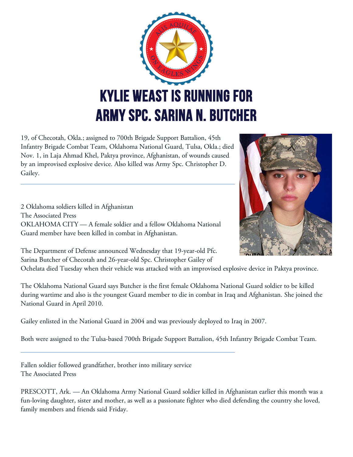

19, of Checotah, Okla.; assigned to 700th Brigade Support Battalion, 45th Infantry Brigade Combat Team, Oklahoma National Guard, Tulsa, Okla.; died Nov. 1, in Laja Ahmad Khel, Paktya province, Afghanistan, of wounds caused by an improvised explosive device. Also killed was Army Spc. Christopher D. Gailey.

2 Oklahoma soldiers killed in Afghanistan The Associated Press OKLAHOMA CITY — A female soldier and a fellow Oklahoma National Guard member have been killed in combat in Afghanistan.

The Department of Defense announced Wednesday that 19-year-old Pfc. Sarina Butcher of Checotah and 26-year-old Spc. Christopher Gailey of



Ochelata died Tuesday when their vehicle was attacked with an improvised explosive device in Paktya province.

The Oklahoma National Guard says Butcher is the first female Oklahoma National Guard soldier to be killed during wartime and also is the youngest Guard member to die in combat in Iraq and Afghanistan. She joined the National Guard in April 2010.

Gailey enlisted in the National Guard in 2004 and was previously deployed to Iraq in 2007.

Both were assigned to the Tulsa-based 700th Brigade Support Battalion, 45th Infantry Brigade Combat Team.

Fallen soldier followed grandfather, brother into military service The Associated Press

PRESCOTT, Ark. — An Oklahoma Army National Guard soldier killed in Afghanistan earlier this month was a fun-loving daughter, sister and mother, as well as a passionate fighter who died defending the country she loved, family members and friends said Friday.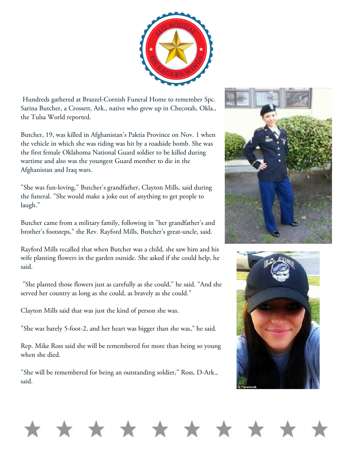

Hundreds gathered at Brazzel-Cornish Funeral Home to remember Spc. Sarina Butcher, a Crossett, Ark., native who grew up in Checotah, Okla., the Tulsa World reported.

Butcher, 19, was killed in Afghanistan's Paktia Province on Nov. 1 when the vehicle in which she was riding was hit by a roadside bomb. She was the first female Oklahoma National Guard soldier to be killed during wartime and also was the youngest Guard member to die in the Afghanistan and Iraq wars.

"She was fun-loving," Butcher's grandfather, Clayton Mills, said during the funeral. "She would make a joke out of anything to get people to laugh."

Butcher came from a military family, following in "her grandfather's and brother's footsteps," the Rev. Rayford Mills, Butcher's great-uncle, said.

Rayford Mills recalled that when Butcher was a child, she saw him and his wife planting flowers in the garden outside. She asked if she could help, he said.

"She planted those flowers just as carefully as she could," he said. "And she served her country as long as she could, as bravely as she could."

Clayton Mills said that was just the kind of person she was.

"She was barely 5-foot-2, and her heart was bigger than she was," he said.

Rep. Mike Ross said she will be remembered for more than being so young when she died.

"She will be remembered for being an outstanding soldier," Ross, D-Ark., said.





## \* \* \* \*